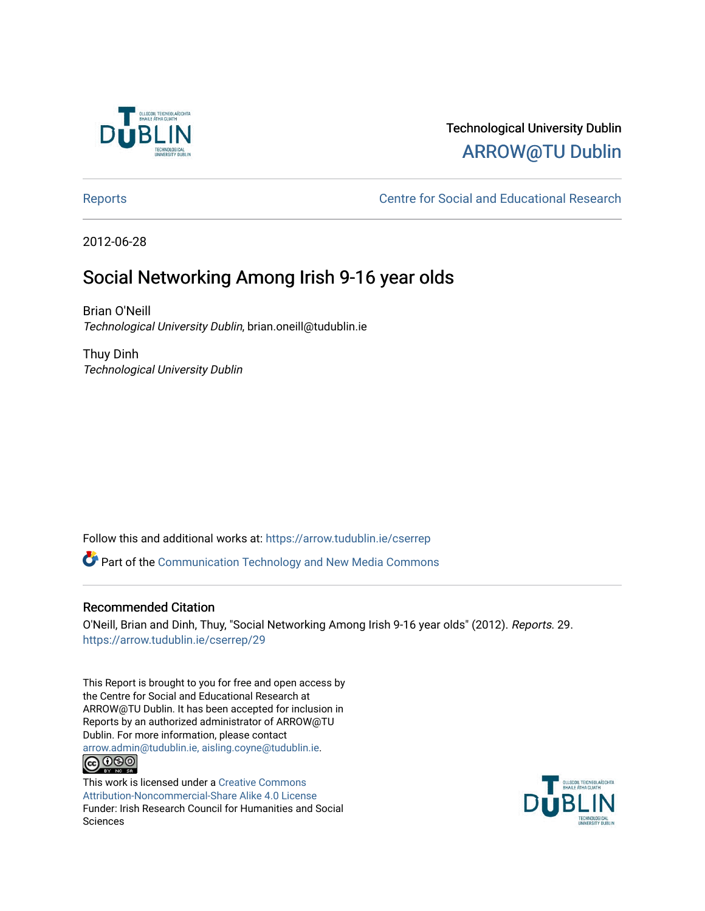

# Technological University Dublin [ARROW@TU Dublin](https://arrow.tudublin.ie/)

[Reports](https://arrow.tudublin.ie/cserrep) **Centre for Social and Educational Research** 

2012-06-28

# Social Networking Among Irish 9-16 year olds

Brian O'Neill Technological University Dublin, brian.oneill@tudublin.ie

Thuy Dinh Technological University Dublin

Follow this and additional works at: [https://arrow.tudublin.ie/cserrep](https://arrow.tudublin.ie/cserrep?utm_source=arrow.tudublin.ie%2Fcserrep%2F29&utm_medium=PDF&utm_campaign=PDFCoverPages)

Part of the [Communication Technology and New Media Commons](http://network.bepress.com/hgg/discipline/327?utm_source=arrow.tudublin.ie%2Fcserrep%2F29&utm_medium=PDF&utm_campaign=PDFCoverPages) 

### Recommended Citation

O'Neill, Brian and Dinh, Thuy, "Social Networking Among Irish 9-16 year olds" (2012). Reports. 29. [https://arrow.tudublin.ie/cserrep/29](https://arrow.tudublin.ie/cserrep/29?utm_source=arrow.tudublin.ie%2Fcserrep%2F29&utm_medium=PDF&utm_campaign=PDFCoverPages) 

This Report is brought to you for free and open access by the Centre for Social and Educational Research at ARROW@TU Dublin. It has been accepted for inclusion in Reports by an authorized administrator of ARROW@TU Dublin. For more information, please contact [arrow.admin@tudublin.ie, aisling.coyne@tudublin.ie](mailto:arrow.admin@tudublin.ie,%20aisling.coyne@tudublin.ie). <u>@000</u>

This work is licensed under a [Creative Commons](http://creativecommons.org/licenses/by-nc-sa/4.0/) [Attribution-Noncommercial-Share Alike 4.0 License](http://creativecommons.org/licenses/by-nc-sa/4.0/) Funder: Irish Research Council for Humanities and Social Sciences

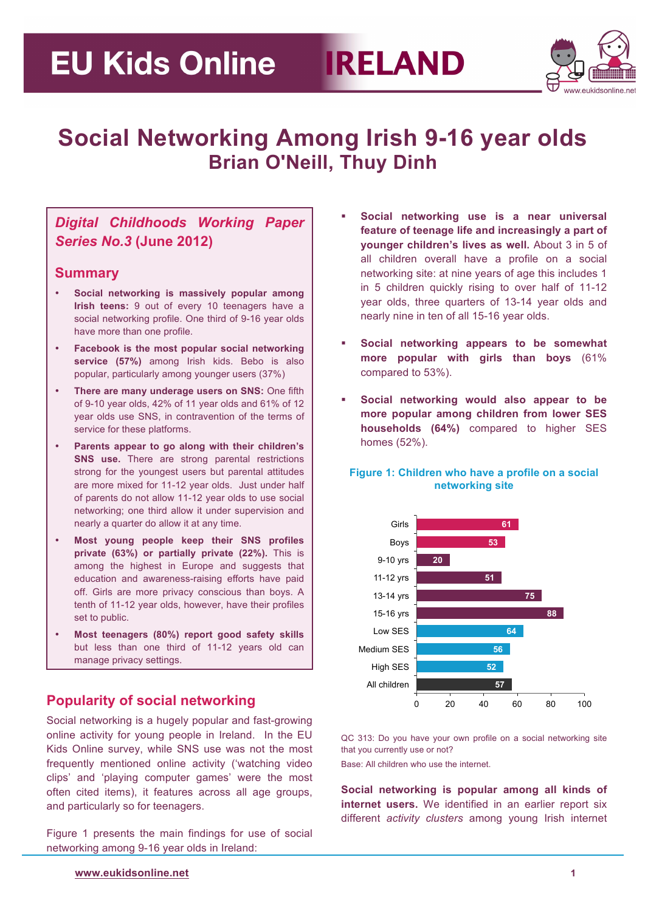

# **Social Networking Among Irish 9-16 year olds Brian O'Neill, Thuy Dinh**

## *Digital Childhoods Working Paper Series No.3* **(June 2012)**

### **Summary**

- **Social networking is massively popular among Irish teens:** 9 out of every 10 teenagers have a social networking profile. One third of 9-16 year olds have more than one profile.
- **Facebook is the most popular social networking service (57%)** among Irish kids. Bebo is also popular, particularly among younger users (37%)
- **There are many underage users on SNS:** One fifth of 9-10 year olds, 42% of 11 year olds and 61% of 12 year olds use SNS, in contravention of the terms of service for these platforms.
- **Parents appear to go along with their children's SNS use.** There are strong parental restrictions strong for the youngest users but parental attitudes are more mixed for 11-12 year olds. Just under half of parents do not allow 11-12 year olds to use social networking; one third allow it under supervision and nearly a quarter do allow it at any time.
- **Most young people keep their SNS profiles private (63%) or partially private (22%).** This is among the highest in Europe and suggests that education and awareness-raising efforts have paid off. Girls are more privacy conscious than boys. A tenth of 11-12 year olds, however, have their profiles set to public.
- **Most teenagers (80%) report good safety skills**  but less than one third of 11-12 years old can manage privacy settings.

## **Popularity of social networking**

Social networking is a hugely popular and fast-growing online activity for young people in Ireland. In the EU Kids Online survey, while SNS use was not the most frequently mentioned online activity ('watching video clips' and 'playing computer games' were the most often cited items), it features across all age groups, and particularly so for teenagers.

Figure 1 presents the main findings for use of social networking among 9-16 year olds in Ireland:

- **Social networking use is a near universal feature of teenage life and increasingly a part of younger children's lives as well.** About 3 in 5 of all children overall have a profile on a social networking site: at nine years of age this includes 1 in 5 children quickly rising to over half of 11-12 year olds, three quarters of 13-14 year olds and nearly nine in ten of all 15-16 year olds.
- **Social networking appears to be somewhat more popular with girls than boys** (61% compared to 53%).
- **Social networking would also appear to be more popular among children from lower SES households (64%)** compared to higher SES homes (52%).

#### **Figure 1: Children who have a profile on a social networking site**



QC 313: Do you have your own profile on a social networking site that you currently use or not?

Base: All children who use the internet.

**Social networking is popular among all kinds of internet users.** We identified in an earlier report six different *activity clusters* among young Irish internet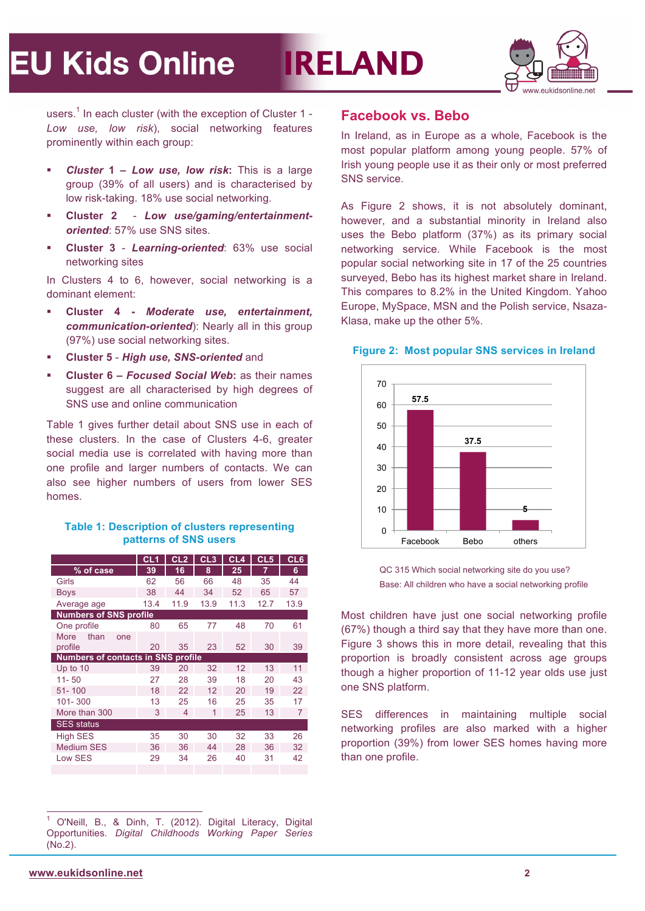# **IRELAND**



users.<sup>1</sup> In each cluster (with the exception of Cluster 1 -*Low use, low risk*), social networking features prominently within each group:

- *Cluster* **1 –** *Low use, low risk***:** This is a large group (39% of all users) and is characterised by low risk-taking. 18% use social networking.
- **Cluster 2**  *Low use/gaming/entertainmentoriented*: 57% use SNS sites.
- **Cluster 3**  *Learning-oriented*: 63% use social networking sites

In Clusters 4 to 6, however, social networking is a dominant element:

- **Cluster 4 -** *Moderate use, entertainment, communication-oriented*): Nearly all in this group (97%) use social networking sites.
- **Cluster 5**  *High use, SNS-oriented* and
- **Cluster 6 –** *Focused Social Web***:** as their names suggest are all characterised by high degrees of SNS use and online communication

Table 1 gives further detail about SNS use in each of these clusters. In the case of Clusters 4-6, greater social media use is correlated with having more than one profile and larger numbers of contacts. We can also see higher numbers of users from lower SES homes.

#### **Table 1: Description of clusters representing patterns of SNS users**

|                                           | CL1  | CL2  | CL <sub>3</sub> | CL <sub>4</sub> | CL <sub>5</sub> | CL6  |  |
|-------------------------------------------|------|------|-----------------|-----------------|-----------------|------|--|
| % of case                                 | 39   | 16   | 8               | 25              | 7               | 6    |  |
| Girls                                     | 62   | 56   | 66              | 48              | 35              | 44   |  |
| <b>Boys</b>                               | 38   | 44   | 34              | 52              | 65              | 57   |  |
| Average age                               | 13.4 | 11.9 | 13.9            | 11.3            | 12.7            | 13.9 |  |
| <b>Numbers of SNS profile</b>             |      |      |                 |                 |                 |      |  |
| One profile                               | 80   | 65   | 77              | 48              | 70              | 61   |  |
| <b>More</b><br>than<br>one                |      |      |                 |                 |                 |      |  |
| profile                                   | 20   | 35   | 23              | 52              | 30              | 39   |  |
| <b>Numbers of contacts in SNS profile</b> |      |      |                 |                 |                 |      |  |
| Up to $10$                                | 39   | 20   | 32              | 12              | 13              | 11   |  |
| $11 - 50$                                 | 27   | 28   | 39              | 18              | 20              | 43   |  |
| $51 - 100$                                | 18   | 22   | 12              | 20              | 19              | 22   |  |
| $101 - 300$                               | 13   | 25   | 16              | 25              | 35              | 17   |  |
| More than 300                             | 3    | 4    | 1               | 25              | 13              | 7    |  |
| <b>SES</b> status                         |      |      |                 |                 |                 |      |  |
| <b>High SES</b>                           | 35   | 30   | 30              | 32              | 33              | 26   |  |
| <b>Medium SES</b>                         | 36   | 36   | 44              | 28              | 36              | 32   |  |
| Low SES                                   | 29   | 34   | 26              | 40              | 31              | 42   |  |
|                                           |      |      |                 |                 |                 |      |  |

 1 O'Neill, B., & Dinh, T. (2012). Digital Literacy, Digital Opportunities. *Digital Childhoods Working Paper Series* (No.2).

### **Facebook vs. Bebo**

In Ireland, as in Europe as a whole, Facebook is the most popular platform among young people. 57% of Irish young people use it as their only or most preferred SNS service.

As Figure 2 shows, it is not absolutely dominant, however, and a substantial minority in Ireland also uses the Bebo platform (37%) as its primary social networking service. While Facebook is the most popular social networking site in 17 of the 25 countries surveyed, Bebo has its highest market share in Ireland. This compares to 8.2% in the United Kingdom. Yahoo Europe, MySpace, MSN and the Polish service, Nsaza-Klasa, make up the other 5%.



#### **Figure 2: Most popular SNS services in Ireland**

QC 315 Which social networking site do you use? Base: All children who have a social networking profile

Most children have just one social networking profile (67%) though a third say that they have more than one. Figure 3 shows this in more detail, revealing that this proportion is broadly consistent across age groups though a higher proportion of 11-12 year olds use just one SNS platform.

SES differences in maintaining multiple social networking profiles are also marked with a higher proportion (39%) from lower SES homes having more than one profile.

 **www.eukidsonline.net 2**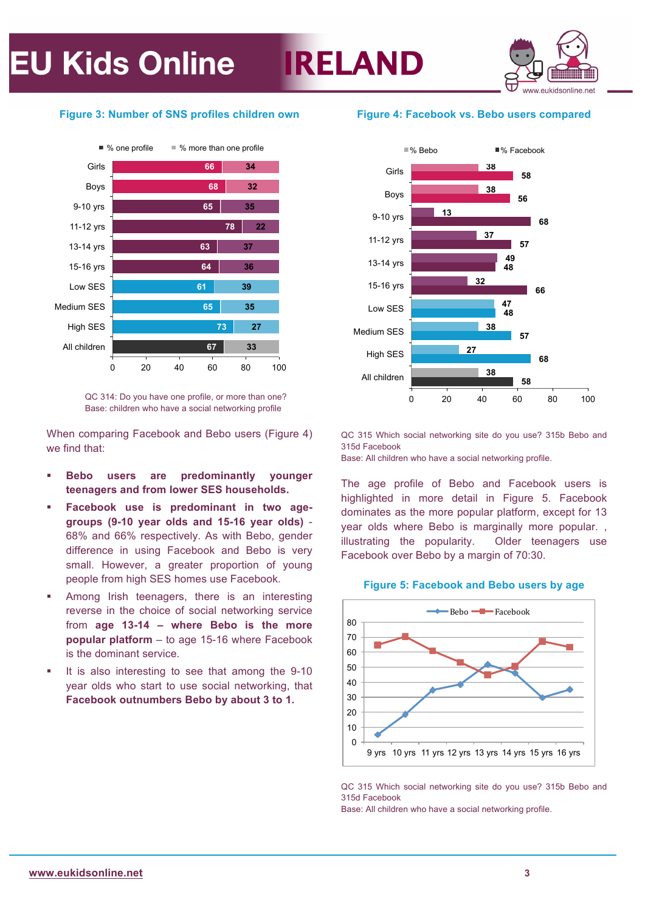

#### **Figure 3: Number of SNS profiles children own**



QC 314: Do you have one profile, or more than one? Base: children who have a social networking profile

When comparing Facebook and Bebo users (Figure 4) we find that:

- **Bebo users are predominantly younger teenagers and from lower SES households.**
- **Facebook use is predominant in two agegroups (9-10 year olds and 15-16 year olds)** - 68% and 66% respectively. As with Bebo, gender difference in using Facebook and Bebo is very small. However, a greater proportion of young people from high SES homes use Facebook.
- Among Irish teenagers, there is an interesting reverse in the choice of social networking service from **age 13-14 – where Bebo is the more popular platform** – to age 15-16 where Facebook is the dominant service.
- It is also interesting to see that among the 9-10 year olds who start to use social networking, that **Facebook outnumbers Bebo by about 3 to 1.**

#### **Figure 4: Facebook vs. Bebo users compared**



QC 315 Which social networking site do you use? 315b Bebo and 315d Facebook

Base: All children who have a social networking profile.

The age profile of Bebo and Facebook users is highlighted in more detail in Figure 5. Facebook dominates as the more popular platform, except for 13 year olds where Bebo is marginally more popular. , illustrating the popularity. Older teenagers use Facebook over Bebo by a margin of 70:30.

#### **Figure 5: Facebook and Bebo users by age**



QC 315 Which social networking site do you use? 315b Bebo and 315d Facebook

Base: All children who have a social networking profile.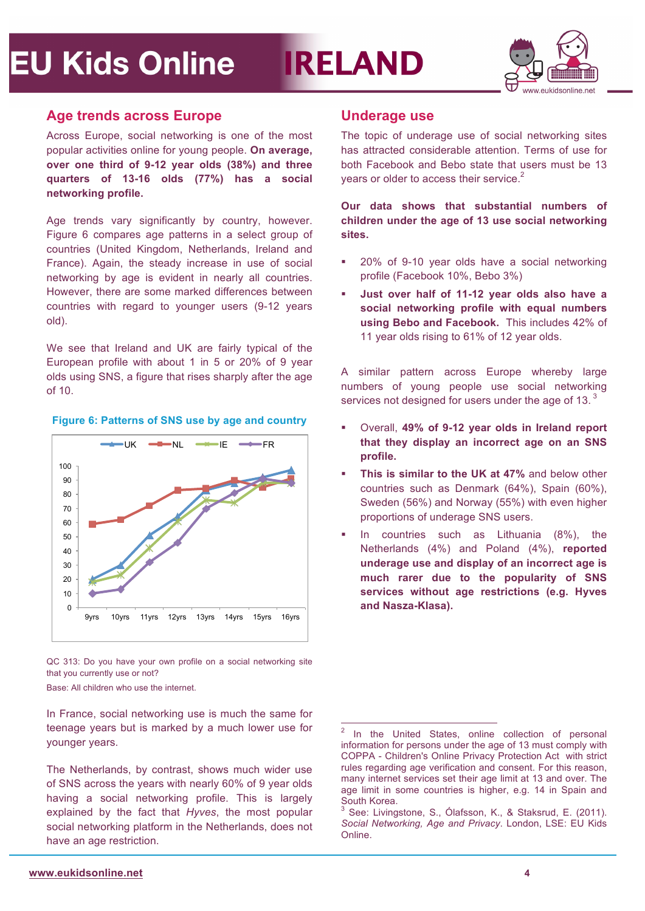# **IRELAND**



### **Age trends across Europe**

Across Europe, social networking is one of the most popular activities online for young people. **On average, over one third of 9-12 year olds (38%) and three quarters of 13-16 olds (77%) has a social networking profile.**

Age trends vary significantly by country, however. Figure 6 compares age patterns in a select group of countries (United Kingdom, Netherlands, Ireland and France). Again, the steady increase in use of social networking by age is evident in nearly all countries. However, there are some marked differences between countries with regard to younger users (9-12 years old).

We see that Ireland and UK are fairly typical of the European profile with about 1 in 5 or 20% of 9 year olds using SNS, a figure that rises sharply after the age of 10.

#### **Figure 6: Patterns of SNS use by age and country**



QC 313: Do you have your own profile on a social networking site that you currently use or not?

Base: All children who use the internet.

In France, social networking use is much the same for teenage years but is marked by a much lower use for younger years.

The Netherlands, by contrast, shows much wider use of SNS across the years with nearly 60% of 9 year olds having a social networking profile. This is largely explained by the fact that *Hyves*, the most popular social networking platform in the Netherlands, does not have an age restriction.

### **Underage use**

The topic of underage use of social networking sites has attracted considerable attention. Terms of use for both Facebook and Bebo state that users must be 13 years or older to access their service.<sup>2</sup>

**Our data shows that substantial numbers of children under the age of 13 use social networking sites.** 

- 20% of 9-10 year olds have a social networking profile (Facebook 10%, Bebo 3%)
- **Just over half of 11-12 year olds also have a social networking profile with equal numbers using Bebo and Facebook.** This includes 42% of 11 year olds rising to 61% of 12 year olds.

A similar pattern across Europe whereby large numbers of young people use social networking services not designed for users under the age of 13. $3$ 

- Overall, **49% of 9-12 year olds in Ireland report that they display an incorrect age on an SNS profile.**
- **This is similar to the UK at 47%** and below other countries such as Denmark (64%), Spain (60%), Sweden (56%) and Norway (55%) with even higher proportions of underage SNS users.
- In countries such as Lithuania (8%), the Netherlands (4%) and Poland (4%), **reported underage use and display of an incorrect age is much rarer due to the popularity of SNS services without age restrictions (e.g. Hyves and Nasza-Klasa).**

<sup>&</sup>lt;sup>2</sup> In the United States, online collection of personal information for persons under the age of 13 must comply with COPPA - Children's Online Privacy Protection Act with strict rules regarding age verification and consent. For this reason, many internet services set their age limit at 13 and over. The age limit in some countries is higher, e.g. 14 in Spain and South Korea.

<sup>3</sup> See: Livingstone, S., Ólafsson, K., & Staksrud, E. (2011). *Social Networking, Age and Privacy*. London, LSE: EU Kids Online.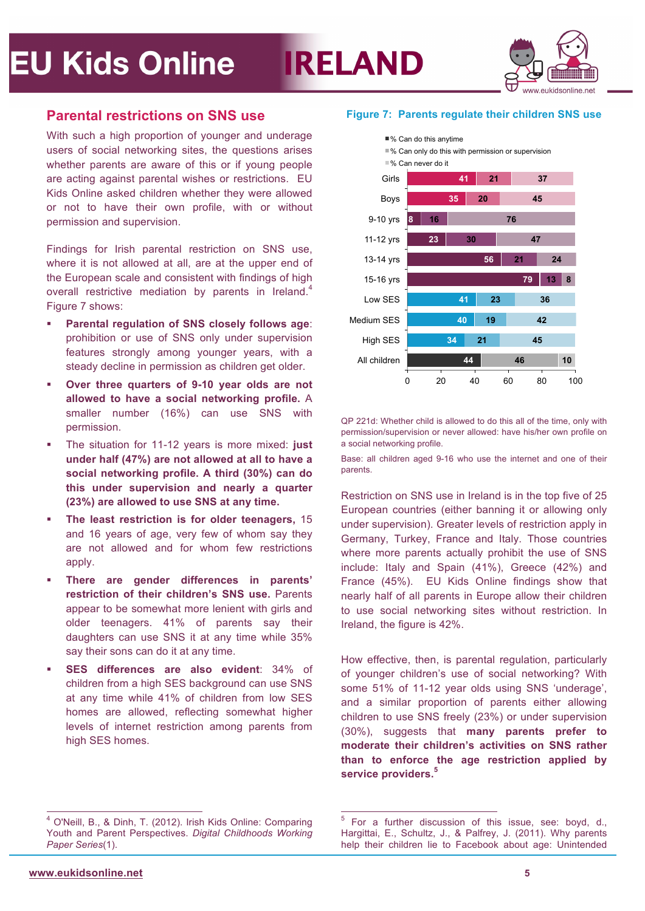

### **Parental restrictions on SNS use**

With such a high proportion of younger and underage users of social networking sites, the questions arises whether parents are aware of this or if young people are acting against parental wishes or restrictions. EU Kids Online asked children whether they were allowed or not to have their own profile, with or without permission and supervision.

Findings for Irish parental restriction on SNS use, where it is not allowed at all, are at the upper end of the European scale and consistent with findings of high overall restrictive mediation by parents in Ireland.<sup>4</sup> Figure 7 shows:

- **Parental regulation of SNS closely follows age**: prohibition or use of SNS only under supervision features strongly among younger years, with a steady decline in permission as children get older.
- **Over three quarters of 9-10 year olds are not allowed to have a social networking profile.** A smaller number (16%) can use SNS with permission.
- The situation for 11-12 years is more mixed: **just under half (47%) are not allowed at all to have a social networking profile. A third (30%) can do this under supervision and nearly a quarter (23%) are allowed to use SNS at any time.**
- **The least restriction is for older teenagers,** 15 and 16 years of age, very few of whom say they are not allowed and for whom few restrictions apply.
- **There are gender differences in parents' restriction of their children's SNS use.** Parents appear to be somewhat more lenient with girls and older teenagers. 41% of parents say their daughters can use SNS it at any time while 35% say their sons can do it at any time.
- **SES differences are also evident**: 34% of children from a high SES background can use SNS at any time while 41% of children from low SES homes are allowed, reflecting somewhat higher levels of internet restriction among parents from high SES homes.

#### **Figure 7: Parents regulate their children SNS use**



QP 221d: Whether child is allowed to do this all of the time, only with permission/supervision or never allowed: have his/her own profile on a social networking profile.

Base: all children aged 9-16 who use the internet and one of their parents.

Restriction on SNS use in Ireland is in the top five of 25 European countries (either banning it or allowing only under supervision). Greater levels of restriction apply in Germany, Turkey, France and Italy. Those countries where more parents actually prohibit the use of SNS include: Italy and Spain (41%), Greece (42%) and France (45%). EU Kids Online findings show that nearly half of all parents in Europe allow their children to use social networking sites without restriction. In Ireland, the figure is 42%.

How effective, then, is parental regulation, particularly of younger children's use of social networking? With some 51% of 11-12 year olds using SNS 'underage', and a similar proportion of parents either allowing children to use SNS freely (23%) or under supervision (30%), suggests that **many parents prefer to moderate their children's activities on SNS rather than to enforce the age restriction applied by service providers.<sup>5</sup>**

 <sup>4</sup> O'Neill, B., & Dinh, T. (2012). Irish Kids Online: Comparing Youth and Parent Perspectives. *Digital Childhoods Working Paper Series*(1).

 <sup>5</sup> For a further discussion of this issue, see: boyd, d., Hargittai, E., Schultz, J., & Palfrey, J. (2011). Why parents help their children lie to Facebook about age: Unintended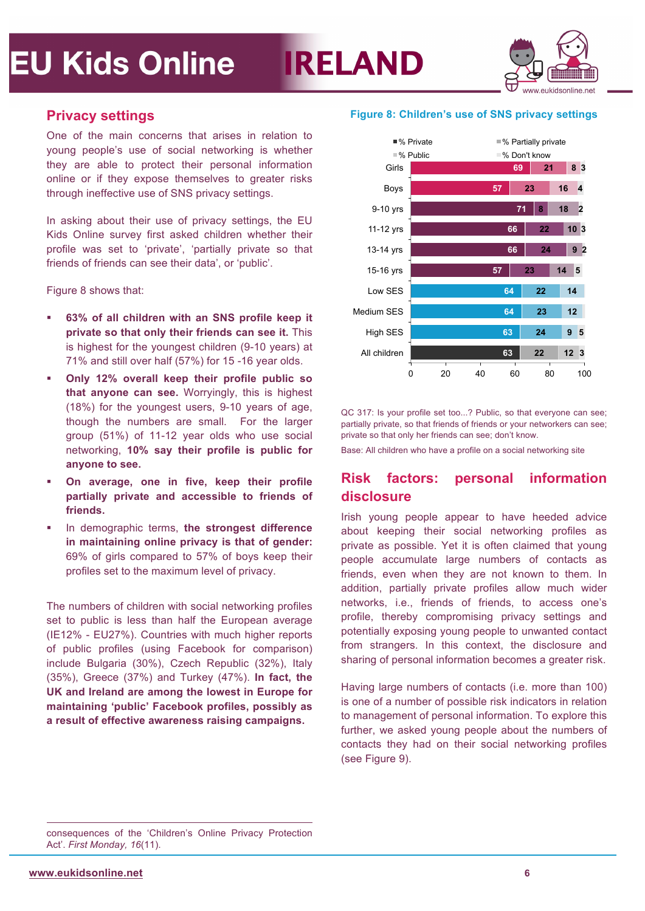



### **Privacy settings**

One of the main concerns that arises in relation to young people's use of social networking is whether they are able to protect their personal information online or if they expose themselves to greater risks through ineffective use of SNS privacy settings.

In asking about their use of privacy settings, the EU Kids Online survey first asked children whether their profile was set to 'private', 'partially private so that friends of friends can see their data', or 'public'.

Figure 8 shows that:

- **63% of all children with an SNS profile keep it private so that only their friends can see it.** This is highest for the youngest children (9-10 years) at 71% and still over half (57%) for 15 -16 year olds.
- **Only 12% overall keep their profile public so that anyone can see.** Worryingly, this is highest (18%) for the youngest users, 9-10 years of age, though the numbers are small. For the larger group (51%) of 11-12 year olds who use social networking, **10% say their profile is public for anyone to see.**
- **On average, one in five, keep their profile partially private and accessible to friends of friends.**
- In demographic terms, **the strongest difference in maintaining online privacy is that of gender:** 69% of girls compared to 57% of boys keep their profiles set to the maximum level of privacy.

The numbers of children with social networking profiles set to public is less than half the European average (IE12% - EU27%). Countries with much higher reports of public profiles (using Facebook for comparison) include Bulgaria (30%), Czech Republic (32%), Italy (35%), Greece (37%) and Turkey (47%). **In fact, the UK and Ireland are among the lowest in Europe for maintaining 'public' Facebook profiles, possibly as a result of effective awareness raising campaigns.**

#### **Figure 8: Children's use of SNS privacy settings**



QC 317: Is your profile set too...? Public, so that everyone can see; partially private, so that friends of friends or your networkers can see; private so that only her friends can see; don't know.

Base: All children who have a profile on a social networking site

## **Risk factors: personal information disclosure**

Irish young people appear to have heeded advice about keeping their social networking profiles as private as possible. Yet it is often claimed that young people accumulate large numbers of contacts as friends, even when they are not known to them. In addition, partially private profiles allow much wider networks, i.e., friends of friends, to access one's profile, thereby compromising privacy settings and potentially exposing young people to unwanted contact from strangers. In this context, the disclosure and sharing of personal information becomes a greater risk.

Having large numbers of contacts (i.e. more than 100) is one of a number of possible risk indicators in relation to management of personal information. To explore this further, we asked young people about the numbers of contacts they had on their social networking profiles (see Figure 9).

consequences of the 'Children's Online Privacy Protection Act'. *First Monday, 16*(11).

1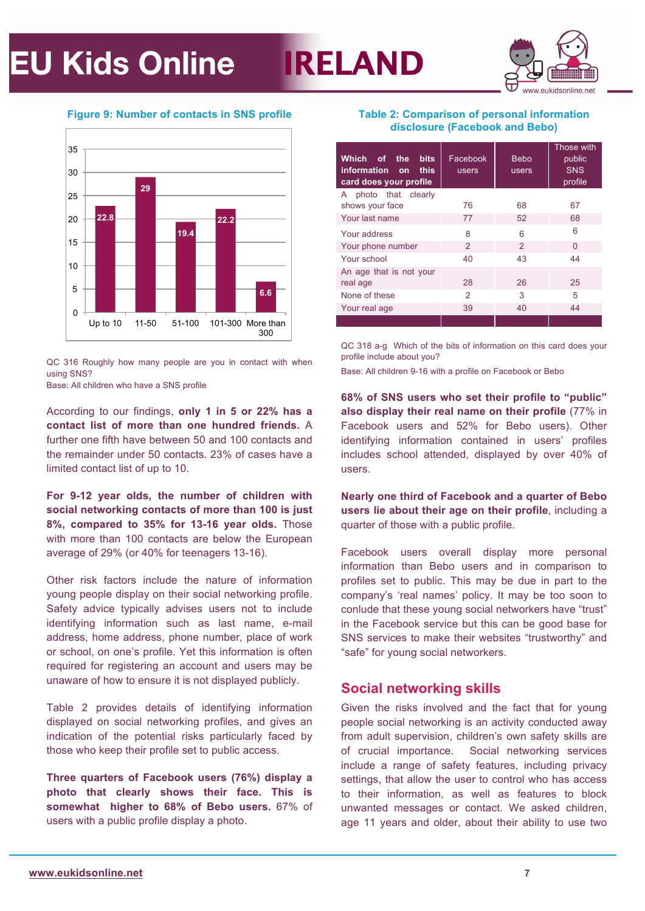



#### **Figure 9: Number of contacts in SNS profile**



QC 316 Roughly how many people are you in contact with when using SNS?

Base: All children who have a SNS profile

According to our findings, **only 1 in 5 or 22% has a contact list of more than one hundred friends.** A further one fifth have between 50 and 100 contacts and the remainder under 50 contacts. 23% of cases have a limited contact list of up to 10.

**For 9-12 year olds, the number of children with social networking contacts of more than 100 is just 8%, compared to 35% for 13-16 year olds.** Those with more than 100 contacts are below the European average of 29% (or 40% for teenagers 13-16).

Other risk factors include the nature of information young people display on their social networking profile. Safety advice typically advises users not to include identifying information such as last name, e-mail address, home address, phone number, place of work or school, on one's profile. Yet this information is often required for registering an account and users may be unaware of how to ensure it is not displayed publicly.

Table 2 provides details of identifying information displayed on social networking profiles, and gives an indication of the potential risks particularly faced by those who keep their profile set to public access.

**Three quarters of Facebook users (76%) display a photo that clearly shows their face. This is somewhat higher to 68% of Bebo users.** 67% of users with a public profile display a photo.

#### **Table 2: Comparison of personal information disclosure (Facebook and Bebo)**

| Which of the<br><b>bits</b><br>information on<br>this<br>card does your profile | Facebook<br>users | <b>Bebo</b><br>users | Those with<br>public<br><b>SNS</b><br>profile |
|---------------------------------------------------------------------------------|-------------------|----------------------|-----------------------------------------------|
| photo that clearly<br>A                                                         |                   |                      |                                               |
| shows your face                                                                 | 76                | 68                   | 67                                            |
| Your last name                                                                  | 77                | 52                   | 68                                            |
| Your address                                                                    | 8                 | 6                    | 6                                             |
| Your phone number                                                               | $\mathcal{P}$     | $\mathcal{P}$        | $\Omega$                                      |
| Your school                                                                     | 40                | 43                   | 44                                            |
| An age that is not your                                                         |                   |                      |                                               |
| real age                                                                        | 28                | 26                   | 25                                            |
| None of these                                                                   | 2                 | 3                    | 5                                             |
| Your real age                                                                   | 39                | 40                   | 44                                            |
|                                                                                 |                   |                      |                                               |

QC 318 a-g Which of the bits of information on this card does your profile include about you?

Base: All children 9-16 with a profile on Facebook or Bebo

**68% of SNS users who set their profile to "public" also display their real name on their profile** (77% in Facebook users and 52% for Bebo users). Other identifying information contained in users' profiles includes school attended, displayed by over 40% of users.

**Nearly one third of Facebook and a quarter of Bebo users lie about their age on their profile**, including a quarter of those with a public profile.

Facebook users overall display more personal information than Bebo users and in comparison to profiles set to public. This may be due in part to the company's 'real names' policy. It may be too soon to conlude that these young social networkers have "trust" in the Facebook service but this can be good base for SNS services to make their websites "trustworthy" and "safe" for young social networkers.

### **Social networking skills**

Given the risks involved and the fact that for young people social networking is an activity conducted away from adult supervision, children's own safety skills are of crucial importance. Social networking services include a range of safety features, including privacy settings, that allow the user to control who has access to their information, as well as features to block unwanted messages or contact. We asked children, age 11 years and older, about their ability to use two